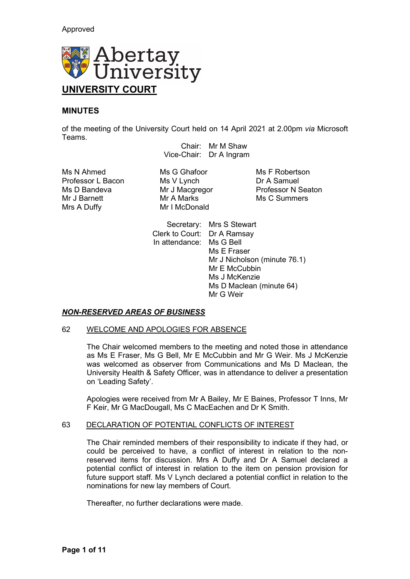

# **MINUTES**

of the meeting of the University Court held on 14 April 2021 at 2.00pm *via* Microsoft Teams.

Chair: Mr M Shaw Vice-Chair: Dr A Ingram

Ms N Ahmed Ms G Ghafoor Ms F Robertson<br>Professor L Bacon Ms V Lynch Dr A Samuel Ms D Bandeva Mr J Macgregor Mr J Barnett Mr A Marks Mr J Barnett Mr J Barnett Mr A Marks Mr J Barners<br>Mr I McDonald

Mr I McDonald

Professor L Bacon Ms V Lynch<br>
Ms D Bandeva Mr J Macqregor Professor N Seaton

Secretary: Mrs S Stewart Clerk to Court: Dr A Ramsay In attendance: Ms G Bell Ms E Fraser Mr J Nicholson (minute 76.1) Mr E McCubbin Ms J McKenzie Ms D Maclean (minute 64) Mr G Weir

# *NON-RESERVED AREAS OF BUSINESS*

### 62 WELCOME AND APOLOGIES FOR ABSENCE

The Chair welcomed members to the meeting and noted those in attendance as Ms E Fraser, Ms G Bell, Mr E McCubbin and Mr G Weir. Ms J McKenzie was welcomed as observer from Communications and Ms D Maclean, the University Health & Safety Officer, was in attendance to deliver a presentation on 'Leading Safety'.

Apologies were received from Mr A Bailey, Mr E Baines, Professor T Inns, Mr F Keir, Mr G MacDougall, Ms C MacEachen and Dr K Smith.

### 63 DECLARATION OF POTENTIAL CONFLICTS OF INTEREST

The Chair reminded members of their responsibility to indicate if they had, or could be perceived to have, a conflict of interest in relation to the nonreserved items for discussion. Mrs A Duffy and Dr A Samuel declared a potential conflict of interest in relation to the item on pension provision for future support staff. Ms V Lynch declared a potential conflict in relation to the nominations for new lay members of Court.

Thereafter, no further declarations were made.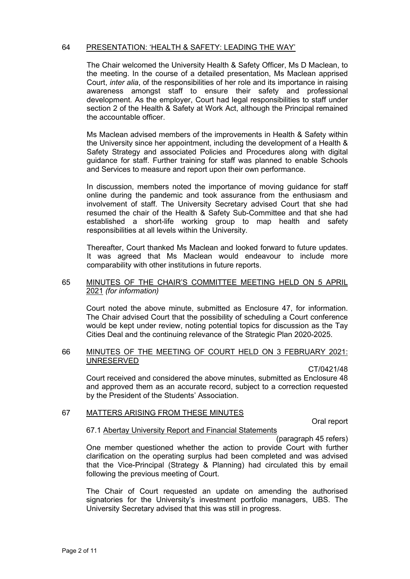#### 64 PRESENTATION: 'HEALTH & SAFETY: LEADING THE WAY'

The Chair welcomed the University Health & Safety Officer, Ms D Maclean, to the meeting. In the course of a detailed presentation, Ms Maclean apprised Court, *inter alia*, of the responsibilities of her role and its importance in raising awareness amongst staff to ensure their safety and professional development. As the employer, Court had legal responsibilities to staff under section 2 of the Health & Safety at Work Act, although the Principal remained the accountable officer.

Ms Maclean advised members of the improvements in Health & Safety within the University since her appointment, including the development of a Health & Safety Strategy and associated Policies and Procedures along with digital guidance for staff. Further training for staff was planned to enable Schools and Services to measure and report upon their own performance.

In discussion, members noted the importance of moving guidance for staff online during the pandemic and took assurance from the enthusiasm and involvement of staff. The University Secretary advised Court that she had resumed the chair of the Health & Safety Sub-Committee and that she had established a short-life working group to map health and safety responsibilities at all levels within the University.

Thereafter, Court thanked Ms Maclean and looked forward to future updates. It was agreed that Ms Maclean would endeavour to include more comparability with other institutions in future reports.

### 65 MINUTES OF THE CHAIR'S COMMITTEE MEETING HELD ON 5 APRIL 2021 *(for information)*

Court noted the above minute, submitted as Enclosure 47, for information. The Chair advised Court that the possibility of scheduling a Court conference would be kept under review, noting potential topics for discussion as the Tay Cities Deal and the continuing relevance of the Strategic Plan 2020-2025.

#### 66 MINUTES OF THE MEETING OF COURT HELD ON 3 FEBRUARY 2021: UNRESERVED

CT/0421/48

Court received and considered the above minutes, submitted as Enclosure 48 and approved them as an accurate record, subject to a correction requested by the President of the Students' Association.

# 67 MATTERS ARISING FROM THESE MINUTES

Oral report

### 67.1 Abertay University Report and Financial Statements

(paragraph 45 refers)

One member questioned whether the action to provide Court with further clarification on the operating surplus had been completed and was advised that the Vice-Principal (Strategy & Planning) had circulated this by email following the previous meeting of Court.

The Chair of Court requested an update on amending the authorised signatories for the University's investment portfolio managers, UBS. The University Secretary advised that this was still in progress.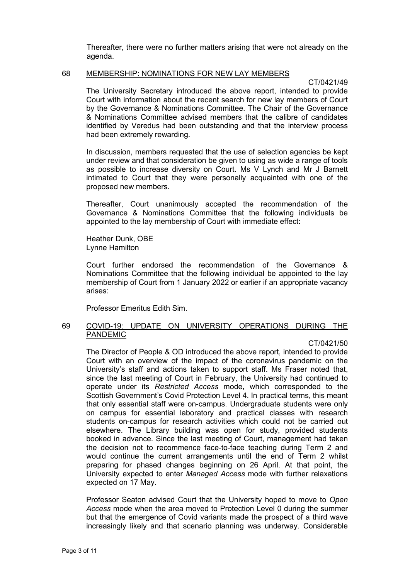Thereafter, there were no further matters arising that were not already on the agenda.

#### 68 MEMBERSHIP: NOMINATIONS FOR NEW LAY MEMBERS

CT/0421/49

The University Secretary introduced the above report, intended to provide Court with information about the recent search for new lay members of Court by the Governance & Nominations Committee. The Chair of the Governance & Nominations Committee advised members that the calibre of candidates identified by Veredus had been outstanding and that the interview process had been extremely rewarding.

In discussion, members requested that the use of selection agencies be kept under review and that consideration be given to using as wide a range of tools as possible to increase diversity on Court. Ms V Lynch and Mr J Barnett intimated to Court that they were personally acquainted with one of the proposed new members.

Thereafter, Court unanimously accepted the recommendation of the Governance & Nominations Committee that the following individuals be appointed to the lay membership of Court with immediate effect:

Heather Dunk, OBE Lynne Hamilton

Court further endorsed the recommendation of the Governance & Nominations Committee that the following individual be appointed to the lay membership of Court from 1 January 2022 or earlier if an appropriate vacancy arises:

Professor Emeritus Edith Sim.

# 69 COVID-19: UPDATE ON UNIVERSITY OPERATIONS DURING THE PANDEMIC

CT/0421/50

The Director of People & OD introduced the above report, intended to provide Court with an overview of the impact of the coronavirus pandemic on the University's staff and actions taken to support staff. Ms Fraser noted that, since the last meeting of Court in February, the University had continued to operate under its *Restricted Access* mode, which corresponded to the Scottish Government's Covid Protection Level 4. In practical terms, this meant that only essential staff were on-campus. Undergraduate students were only on campus for essential laboratory and practical classes with research students on-campus for research activities which could not be carried out elsewhere. The Library building was open for study, provided students booked in advance. Since the last meeting of Court, management had taken the decision not to recommence face-to-face teaching during Term 2 and would continue the current arrangements until the end of Term 2 whilst preparing for phased changes beginning on 26 April. At that point, the University expected to enter *Managed Access* mode with further relaxations expected on 17 May.

Professor Seaton advised Court that the University hoped to move to *Open Access* mode when the area moved to Protection Level 0 during the summer but that the emergence of Covid variants made the prospect of a third wave increasingly likely and that scenario planning was underway. Considerable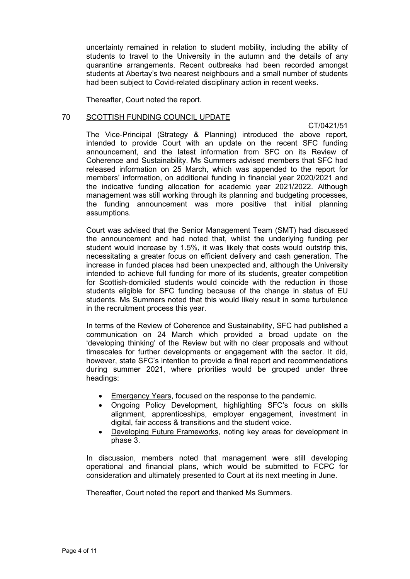uncertainty remained in relation to student mobility, including the ability of students to travel to the University in the autumn and the details of any quarantine arrangements. Recent outbreaks had been recorded amongst students at Abertay's two nearest neighbours and a small number of students had been subject to Covid-related disciplinary action in recent weeks.

Thereafter, Court noted the report.

### 70 SCOTTISH FUNDING COUNCIL UPDATE

CT/0421/51

The Vice-Principal (Strategy & Planning) introduced the above report, intended to provide Court with an update on the recent SFC funding announcement, and the latest information from SFC on its Review of Coherence and Sustainability. Ms Summers advised members that SFC had released information on 25 March, which was appended to the report for members' information, on additional funding in financial year 2020/2021 and the indicative funding allocation for academic year 2021/2022. Although management was still working through its planning and budgeting processes, the funding announcement was more positive that initial planning assumptions.

Court was advised that the Senior Management Team (SMT) had discussed the announcement and had noted that, whilst the underlying funding per student would increase by 1.5%, it was likely that costs would outstrip this, necessitating a greater focus on efficient delivery and cash generation. The increase in funded places had been unexpected and, although the University intended to achieve full funding for more of its students, greater competition for Scottish-domiciled students would coincide with the reduction in those students eligible for SFC funding because of the change in status of EU students. Ms Summers noted that this would likely result in some turbulence in the recruitment process this year.

In terms of the Review of Coherence and Sustainability, SFC had published a communication on 24 March which provided a broad update on the 'developing thinking' of the Review but with no clear proposals and without timescales for further developments or engagement with the sector. It did, however, state SFC's intention to provide a final report and recommendations during summer 2021, where priorities would be grouped under three headings:

- Emergency Years, focused on the response to the pandemic.
- Ongoing Policy Development, highlighting SFC's focus on skills alignment, apprenticeships, employer engagement, investment in digital, fair access & transitions and the student voice.
- Developing Future Frameworks, noting key areas for development in phase 3.

In discussion, members noted that management were still developing operational and financial plans, which would be submitted to FCPC for consideration and ultimately presented to Court at its next meeting in June.

Thereafter, Court noted the report and thanked Ms Summers.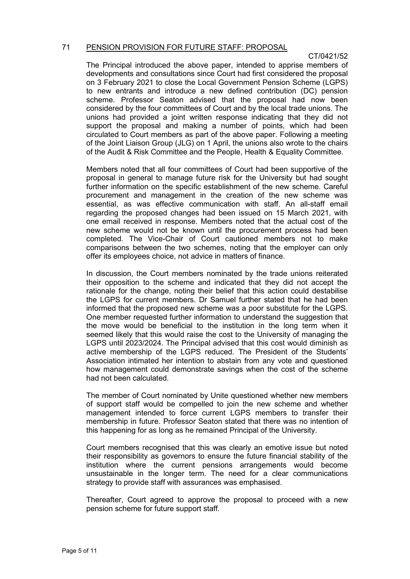### 71 PENSION PROVISION FOR FUTURE STAFF: PROPOSAL

# CT/0421/52

The Principal introduced the above paper, intended to apprise members of developments and consultations since Court had first considered the proposal on 3 February 2021 to close the Local Government Pension Scheme (LGPS) to new entrants and introduce a new defined contribution (DC) pension scheme. Professor Seaton advised that the proposal had now been considered by the four committees of Court and by the local trade unions. The unions had provided a joint written response indicating that they did not support the proposal and making a number of points, which had been circulated to Court members as part of the above paper. Following a meeting of the Joint Liaison Group (JLG) on 1 April, the unions also wrote to the chairs of the Audit & Risk Committee and the People, Health & Equality Committee.

Members noted that all four committees of Court had been supportive of the proposal in general to manage future risk for the University but had sought further information on the specific establishment of the new scheme. Careful procurement and management in the creation of the new scheme was essential, as was effective communication with staff. An all-staff email regarding the proposed changes had been issued on 15 March 2021, with one email received in response. Members noted that the actual cost of the new scheme would not be known until the procurement process had been completed. The Vice-Chair of Court cautioned members not to make comparisons between the two schemes, noting that the employer can only offer its employees choice, not advice in matters of finance.

In discussion, the Court members nominated by the trade unions reiterated their opposition to the scheme and indicated that they did not accept the rationale for the change, noting their belief that this action could destabilise the LGPS for current members. Dr Samuel further stated that he had been informed that the proposed new scheme was a poor substitute for the LGPS. One member requested further information to understand the suggestion that the move would be beneficial to the institution in the long term when it seemed likely that this would raise the cost to the University of managing the LGPS until 2023/2024. The Principal advised that this cost would diminish as active membership of the LGPS reduced. The President of the Students' Association intimated her intention to abstain from any vote and questioned how management could demonstrate savings when the cost of the scheme had not been calculated.

The member of Court nominated by Unite questioned whether new members of support staff would be compelled to join the new scheme and whether management intended to force current LGPS members to transfer their membership in future. Professor Seaton stated that there was no intention of this happening for as long as he remained Principal of the University.

Court members recognised that this was clearly an emotive issue but noted their responsibility as governors to ensure the future financial stability of the institution where the current pensions arrangements would become unsustainable in the longer term. The need for a clear communications strategy to provide staff with assurances was emphasised.

Thereafter, Court agreed to approve the proposal to proceed with a new pension scheme for future support staff.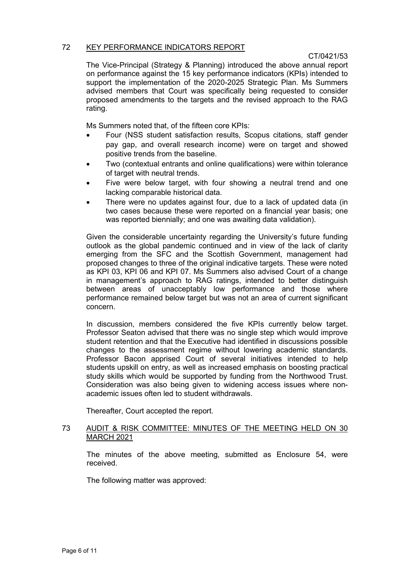### 72 KEY PERFORMANCE INDICATORS REPORT

# CT/0421/53

The Vice-Principal (Strategy & Planning) introduced the above annual report on performance against the 15 key performance indicators (KPIs) intended to support the implementation of the 2020-2025 Strategic Plan. Ms Summers advised members that Court was specifically being requested to consider proposed amendments to the targets and the revised approach to the RAG rating.

Ms Summers noted that, of the fifteen core KPIs:

- Four (NSS student satisfaction results, Scopus citations, staff gender pay gap, and overall research income) were on target and showed positive trends from the baseline.
- Two (contextual entrants and online qualifications) were within tolerance of target with neutral trends.
- Five were below target, with four showing a neutral trend and one lacking comparable historical data.
- There were no updates against four, due to a lack of updated data (in two cases because these were reported on a financial year basis; one was reported biennially; and one was awaiting data validation).

Given the considerable uncertainty regarding the University's future funding outlook as the global pandemic continued and in view of the lack of clarity emerging from the SFC and the Scottish Government, management had proposed changes to three of the original indicative targets. These were noted as KPI 03, KPI 06 and KPI 07. Ms Summers also advised Court of a change in management's approach to RAG ratings, intended to better distinguish between areas of unacceptably low performance and those where performance remained below target but was not an area of current significant concern.

In discussion, members considered the five KPIs currently below target. Professor Seaton advised that there was no single step which would improve student retention and that the Executive had identified in discussions possible changes to the assessment regime without lowering academic standards. Professor Bacon apprised Court of several initiatives intended to help students upskill on entry, as well as increased emphasis on boosting practical study skills which would be supported by funding from the Northwood Trust. Consideration was also being given to widening access issues where nonacademic issues often led to student withdrawals.

Thereafter, Court accepted the report.

# 73 AUDIT & RISK COMMITTEE: MINUTES OF THE MEETING HELD ON 30 MARCH 2021

The minutes of the above meeting, submitted as Enclosure 54, were received.

The following matter was approved: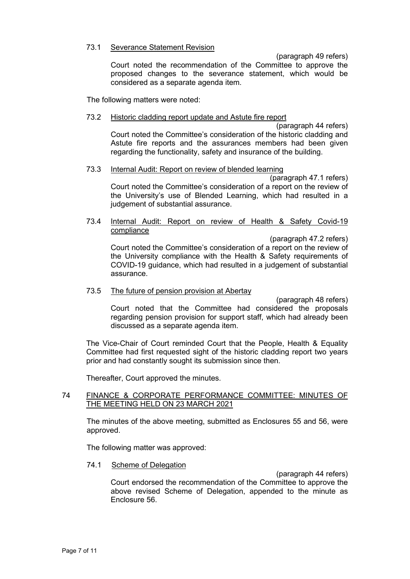### 73.1 Severance Statement Revision

(paragraph 49 refers)

Court noted the recommendation of the Committee to approve the proposed changes to the severance statement, which would be considered as a separate agenda item.

The following matters were noted:

# 73.2 Historic cladding report update and Astute fire report

(paragraph 44 refers) Court noted the Committee's consideration of the historic cladding and Astute fire reports and the assurances members had been given regarding the functionality, safety and insurance of the building.

# 73.3 Internal Audit: Report on review of blended learning

(paragraph 47.1 refers) Court noted the Committee's consideration of a report on the review of the University's use of Blended Learning, which had resulted in a judgement of substantial assurance.

### 73.4 Internal Audit: Report on review of Health & Safety Covid-19 compliance

(paragraph 47.2 refers) Court noted the Committee's consideration of a report on the review of the University compliance with the Health & Safety requirements of COVID-19 guidance, which had resulted in a judgement of substantial assurance.

# 73.5 The future of pension provision at Abertay

(paragraph 48 refers) Court noted that the Committee had considered the proposals regarding pension provision for support staff, which had already been discussed as a separate agenda item.

The Vice-Chair of Court reminded Court that the People, Health & Equality Committee had first requested sight of the historic cladding report two years prior and had constantly sought its submission since then.

Thereafter, Court approved the minutes.

# 74 FINANCE & CORPORATE PERFORMANCE COMMITTEE: MINUTES OF THE MEETING HELD ON 23 MARCH 2021

The minutes of the above meeting, submitted as Enclosures 55 and 56, were approved.

The following matter was approved:

### 74.1 Scheme of Delegation

(paragraph 44 refers)

Court endorsed the recommendation of the Committee to approve the above revised Scheme of Delegation, appended to the minute as Enclosure 56.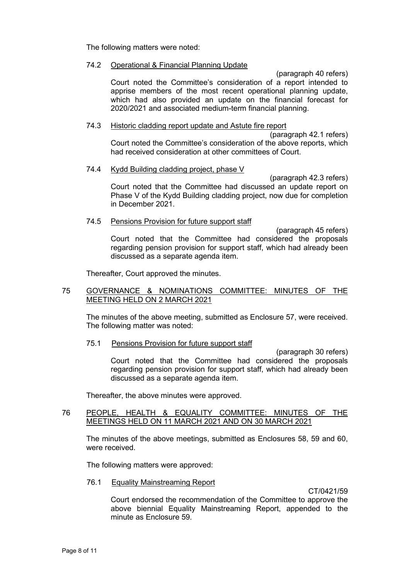The following matters were noted:

# 74.2 Operational & Financial Planning Update

(paragraph 40 refers) Court noted the Committee's consideration of a report intended to apprise members of the most recent operational planning update, which had also provided an update on the financial forecast for 2020/2021 and associated medium-term financial planning.

### 74.3 Historic cladding report update and Astute fire report

(paragraph 42.1 refers) Court noted the Committee's consideration of the above reports, which had received consideration at other committees of Court.

# 74.4 Kydd Building cladding project, phase V

(paragraph 42.3 refers) Court noted that the Committee had discussed an update report on Phase V of the Kydd Building cladding project, now due for completion in December 2021.

### 74.5 Pensions Provision for future support staff

(paragraph 45 refers) Court noted that the Committee had considered the proposals regarding pension provision for support staff, which had already been discussed as a separate agenda item.

Thereafter, Court approved the minutes.

# 75 GOVERNANCE & NOMINATIONS COMMITTEE: MINUTES OF THE MEETING HELD ON 2 MARCH 2021

The minutes of the above meeting, submitted as Enclosure 57, were received. The following matter was noted:

### 75.1 Pensions Provision for future support staff

(paragraph 30 refers) Court noted that the Committee had considered the proposals regarding pension provision for support staff, which had already been discussed as a separate agenda item.

Thereafter, the above minutes were approved.

# 76 PEOPLE, HEALTH & EQUALITY COMMITTEE: MINUTES OF THE MEETINGS HELD ON 11 MARCH 2021 AND ON 30 MARCH 2021

The minutes of the above meetings, submitted as Enclosures 58, 59 and 60, were received.

The following matters were approved:

### 76.1 Equality Mainstreaming Report

CT/0421/59

Court endorsed the recommendation of the Committee to approve the above biennial Equality Mainstreaming Report, appended to the minute as Enclosure 59.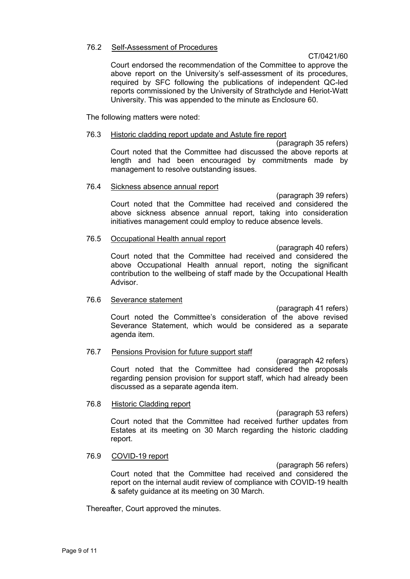### 76.2 Self-Assessment of Procedures

### CT/0421/60

Court endorsed the recommendation of the Committee to approve the above report on the University's self-assessment of its procedures, required by SFC following the publications of independent QC-led reports commissioned by the University of Strathclyde and Heriot-Watt University. This was appended to the minute as Enclosure 60.

The following matters were noted:

### 76.3 Historic cladding report update and Astute fire report

(paragraph 35 refers) Court noted that the Committee had discussed the above reports at length and had been encouraged by commitments made by management to resolve outstanding issues.

#### 76.4 Sickness absence annual report

(paragraph 39 refers) Court noted that the Committee had received and considered the above sickness absence annual report, taking into consideration initiatives management could employ to reduce absence levels.

### 76.5 Occupational Health annual report

(paragraph 40 refers) Court noted that the Committee had received and considered the above Occupational Health annual report, noting the significant contribution to the wellbeing of staff made by the Occupational Health Advisor.

### 76.6 Severance statement

(paragraph 41 refers) Court noted the Committee's consideration of the above revised Severance Statement, which would be considered as a separate agenda item.

### 76.7 Pensions Provision for future support staff

(paragraph 42 refers) Court noted that the Committee had considered the proposals regarding pension provision for support staff, which had already been discussed as a separate agenda item.

### 76.8 Historic Cladding report

(paragraph 53 refers) Court noted that the Committee had received further updates from Estates at its meeting on 30 March regarding the historic cladding report.

### 76.9 COVID-19 report

(paragraph 56 refers) Court noted that the Committee had received and considered the report on the internal audit review of compliance with COVID-19 health & safety guidance at its meeting on 30 March.

Thereafter, Court approved the minutes.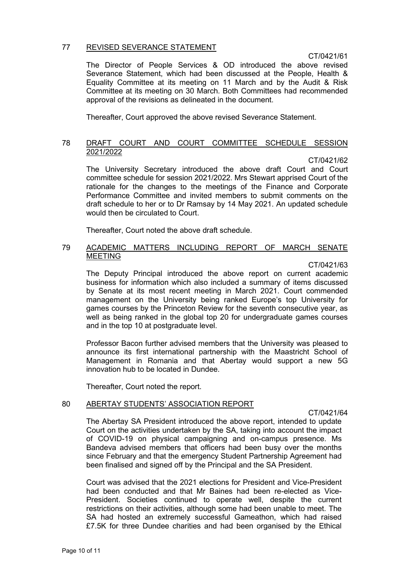# 77 REVISED SEVERANCE STATEMENT

### CT/0421/61

The Director of People Services & OD introduced the above revised Severance Statement, which had been discussed at the People, Health & Equality Committee at its meeting on 11 March and by the Audit & Risk Committee at its meeting on 30 March. Both Committees had recommended approval of the revisions as delineated in the document.

Thereafter, Court approved the above revised Severance Statement.

### 78 DRAFT COURT AND COURT COMMITTEE SCHEDULE SESSION 2021/2022

CT/0421/62

The University Secretary introduced the above draft Court and Court committee schedule for session 2021/2022. Mrs Stewart apprised Court of the rationale for the changes to the meetings of the Finance and Corporate Performance Committee and invited members to submit comments on the draft schedule to her or to Dr Ramsay by 14 May 2021. An updated schedule would then be circulated to Court.

Thereafter, Court noted the above draft schedule.

# 79 ACADEMIC MATTERS INCLUDING REPORT OF MARCH SENATE **MEETING**

### CT/0421/63

The Deputy Principal introduced the above report on current academic business for information which also included a summary of items discussed by Senate at its most recent meeting in March 2021. Court commended management on the University being ranked Europe's top University for games courses by the Princeton Review for the seventh consecutive year, as well as being ranked in the global top 20 for undergraduate games courses and in the top 10 at postgraduate level.

Professor Bacon further advised members that the University was pleased to announce its first international partnership with the Maastricht School of Management in Romania and that Abertay would support a new 5G innovation hub to be located in Dundee.

Thereafter, Court noted the report.

# 80 ABERTAY STUDENTS' ASSOCIATION REPORT

CT/0421/64

The Abertay SA President introduced the above report, intended to update Court on the activities undertaken by the SA, taking into account the impact of COVID-19 on physical campaigning and on-campus presence. Ms Bandeva advised members that officers had been busy over the months since February and that the emergency Student Partnership Agreement had been finalised and signed off by the Principal and the SA President.

Court was advised that the 2021 elections for President and Vice-President had been conducted and that Mr Baines had been re-elected as Vice-President. Societies continued to operate well, despite the current restrictions on their activities, although some had been unable to meet. The SA had hosted an extremely successful Gameathon, which had raised £7.5K for three Dundee charities and had been organised by the Ethical